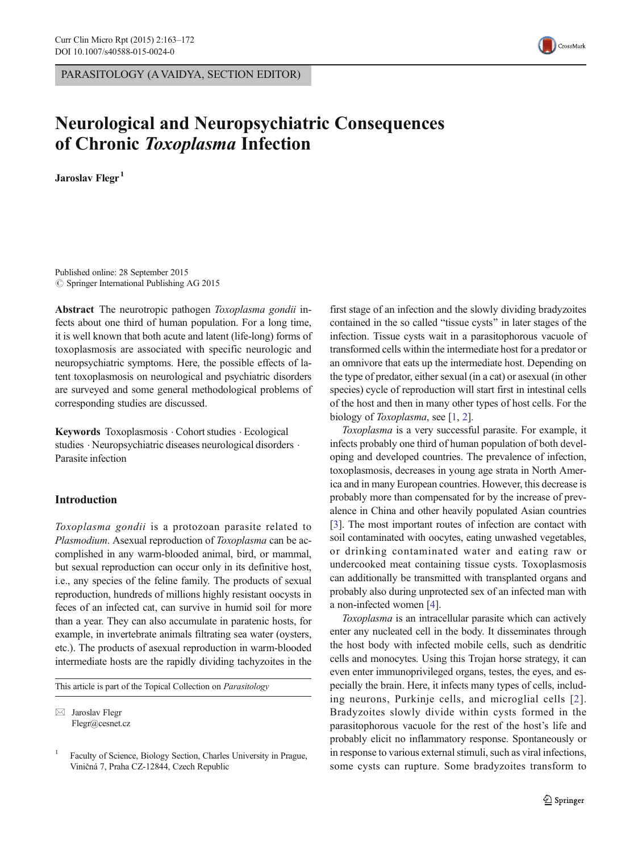PARASITOLOGY (A VAIDYA, SECTION EDITOR)



# Neurological and Neuropsychiatric Consequences of Chronic Toxoplasma Infection

Jaroslav Flegr<sup>1</sup>

Published online: 28 September 2015  $\circ$  Springer International Publishing AG 2015

Abstract The neurotropic pathogen Toxoplasma gondii infects about one third of human population. For a long time, it is well known that both acute and latent (life-long) forms of toxoplasmosis are associated with specific neurologic and neuropsychiatric symptoms. Here, the possible effects of latent toxoplasmosis on neurological and psychiatric disorders are surveyed and some general methodological problems of corresponding studies are discussed.

Keywords Toxoplasmosis . Cohort studies . Ecological studies . Neuropsychiatric diseases neurological disorders . Parasite infection

## Introduction

Toxoplasma gondii is a protozoan parasite related to Plasmodium. Asexual reproduction of Toxoplasma can be accomplished in any warm-blooded animal, bird, or mammal, but sexual reproduction can occur only in its definitive host, i.e., any species of the feline family. The products of sexual reproduction, hundreds of millions highly resistant oocysts in feces of an infected cat, can survive in humid soil for more than a year. They can also accumulate in paratenic hosts, for example, in invertebrate animals filtrating sea water (oysters, etc.). The products of asexual reproduction in warm-blooded intermediate hosts are the rapidly dividing tachyzoites in the

This article is part of the Topical Collection on Parasitology

 $\boxtimes$  Jaroslav Flegr Flegr@cesnet.cz

first stage of an infection and the slowly dividing bradyzoites contained in the so called "tissue cysts" in later stages of the infection. Tissue cysts wait in a parasitophorous vacuole of transformed cells within the intermediate host for a predator or an omnivore that eats up the intermediate host. Depending on the type of predator, either sexual (in a cat) or asexual (in other species) cycle of reproduction will start first in intestinal cells of the host and then in many other types of host cells. For the biology of *Toxoplasma*, see [\[1](#page-7-0), [2\]](#page-7-0).

Toxoplasma is a very successful parasite. For example, it infects probably one third of human population of both developing and developed countries. The prevalence of infection, toxoplasmosis, decreases in young age strata in North America and in many European countries. However, this decrease is probably more than compensated for by the increase of prevalence in China and other heavily populated Asian countries [\[3](#page-7-0)]. The most important routes of infection are contact with soil contaminated with oocytes, eating unwashed vegetables, or drinking contaminated water and eating raw or undercooked meat containing tissue cysts. Toxoplasmosis can additionally be transmitted with transplanted organs and probably also during unprotected sex of an infected man with a non-infected women [\[4\]](#page-7-0).

Toxoplasma is an intracellular parasite which can actively enter any nucleated cell in the body. It disseminates through the host body with infected mobile cells, such as dendritic cells and monocytes. Using this Trojan horse strategy, it can even enter immunoprivileged organs, testes, the eyes, and especially the brain. Here, it infects many types of cells, including neurons, Purkinje cells, and microglial cells [[2](#page-7-0)]. Bradyzoites slowly divide within cysts formed in the parasitophorous vacuole for the rest of the host's life and probably elicit no inflammatory response. Spontaneously or in response to various external stimuli, such as viral infections, some cysts can rupture. Some bradyzoites transform to

<sup>1</sup> Faculty of Science, Biology Section, Charles University in Prague, Viničná 7, Praha CZ-12844, Czech Republic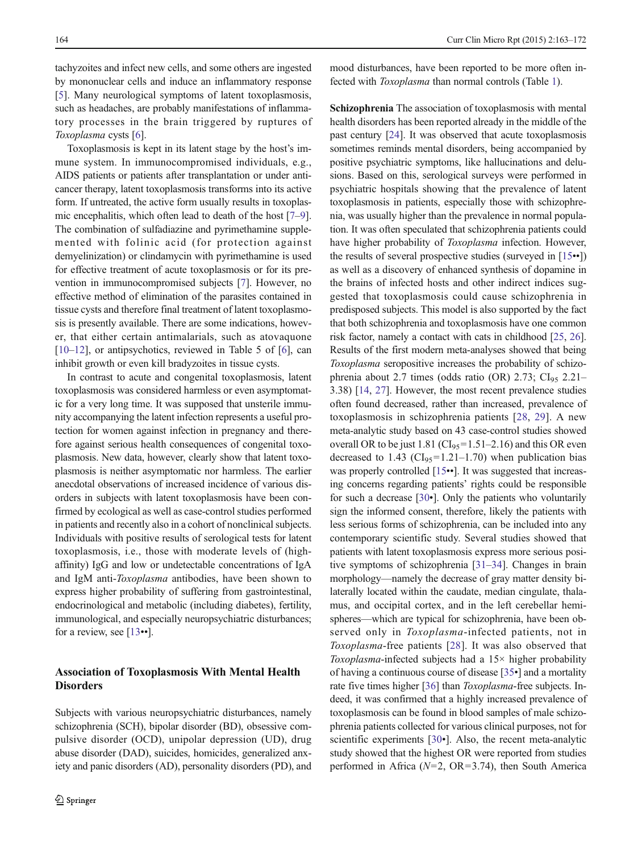tachyzoites and infect new cells, and some others are ingested by mononuclear cells and induce an inflammatory response [\[5](#page-7-0)]. Many neurological symptoms of latent toxoplasmosis, such as headaches, are probably manifestations of inflammatory processes in the brain triggered by ruptures of Toxoplasma cysts [[6](#page-7-0)].

Toxoplasmosis is kept in its latent stage by the host's immune system. In immunocompromised individuals, e.g., AIDS patients or patients after transplantation or under anticancer therapy, latent toxoplasmosis transforms into its active form. If untreated, the active form usually results in toxoplasmic encephalitis, which often lead to death of the host [[7](#page-7-0)–[9\]](#page-7-0). The combination of sulfadiazine and pyrimethamine supplemented with folinic acid (for protection against demyelinization) or clindamycin with pyrimethamine is used for effective treatment of acute toxoplasmosis or for its prevention in immunocompromised subjects [\[7](#page-7-0)]. However, no effective method of elimination of the parasites contained in tissue cysts and therefore final treatment of latent toxoplasmosis is presently available. There are some indications, however, that either certain antimalarials, such as atovaquone [\[10](#page-7-0)–[12\]](#page-7-0), or antipsychotics, reviewed in Table 5 of [\[6](#page-7-0)], can inhibit growth or even kill bradyzoites in tissue cysts.

In contrast to acute and congenital toxoplasmosis, latent toxoplasmosis was considered harmless or even asymptomatic for a very long time. It was supposed that unsterile immunity accompanying the latent infection represents a useful protection for women against infection in pregnancy and therefore against serious health consequences of congenital toxoplasmosis. New data, however, clearly show that latent toxoplasmosis is neither asymptomatic nor harmless. The earlier anecdotal observations of increased incidence of various disorders in subjects with latent toxoplasmosis have been confirmed by ecological as well as case-control studies performed in patients and recently also in a cohort of nonclinical subjects. Individuals with positive results of serological tests for latent toxoplasmosis, i.e., those with moderate levels of (highaffinity) IgG and low or undetectable concentrations of IgA and IgM anti-Toxoplasma antibodies, have been shown to express higher probability of suffering from gastrointestinal, endocrinological and metabolic (including diabetes), fertility, immunological, and especially neuropsychiatric disturbances; for a review, see [[13](#page-7-0)••].

## Association of Toxoplasmosis With Mental Health **Disorders**

Subjects with various neuropsychiatric disturbances, namely schizophrenia (SCH), bipolar disorder (BD), obsessive compulsive disorder (OCD), unipolar depression (UD), drug abuse disorder (DAD), suicides, homicides, generalized anxiety and panic disorders (AD), personality disorders (PD), and mood disturbances, have been reported to be more often infected with Toxoplasma than normal controls (Table [1\)](#page-2-0).

Schizophrenia The association of toxoplasmosis with mental health disorders has been reported already in the middle of the past century [\[24\]](#page-8-0). It was observed that acute toxoplasmosis sometimes reminds mental disorders, being accompanied by positive psychiatric symptoms, like hallucinations and delusions. Based on this, serological surveys were performed in psychiatric hospitals showing that the prevalence of latent toxoplasmosis in patients, especially those with schizophrenia, was usually higher than the prevalence in normal population. It was often speculated that schizophrenia patients could have higher probability of *Toxoplasma* infection. However, the results of several prospective studies (surveyed in [\[15](#page-7-0)••]) as well as a discovery of enhanced synthesis of dopamine in the brains of infected hosts and other indirect indices suggested that toxoplasmosis could cause schizophrenia in predisposed subjects. This model is also supported by the fact that both schizophrenia and toxoplasmosis have one common risk factor, namely a contact with cats in childhood [[25,](#page-8-0) [26\]](#page-8-0). Results of the first modern meta-analyses showed that being Toxoplasma seropositive increases the probability of schizophrenia about 2.7 times (odds ratio (OR) 2.73;  $CI<sub>95</sub>$  2.21– 3.38) [[14,](#page-7-0) [27](#page-8-0)]. However, the most recent prevalence studies often found decreased, rather than increased, prevalence of toxoplasmosis in schizophrenia patients [\[28,](#page-8-0) [29](#page-8-0)]. A new meta-analytic study based on 43 case-control studies showed overall OR to be just 1.81 ( $CI_{95} = 1.51-2.16$ ) and this OR even decreased to 1.43 ( $CI_{95} = 1.21 - 1.70$ ) when publication bias was properly controlled [[15](#page-7-0)••]. It was suggested that increasing concerns regarding patients' rights could be responsible for such a decrease [[30](#page-8-0)•]. Only the patients who voluntarily sign the informed consent, therefore, likely the patients with less serious forms of schizophrenia, can be included into any contemporary scientific study. Several studies showed that patients with latent toxoplasmosis express more serious positive symptoms of schizophrenia [\[31](#page-8-0)–[34](#page-8-0)]. Changes in brain morphology—namely the decrease of gray matter density bilaterally located within the caudate, median cingulate, thalamus, and occipital cortex, and in the left cerebellar hemispheres—which are typical for schizophrenia, have been observed only in *Toxoplasma*-infected patients, not in Toxoplasma-free patients [[28\]](#page-8-0). It was also observed that Toxoplasma-infected subjects had a  $15\times$  higher probability of having a continuous course of disease [[35](#page-8-0)•] and a mortality rate five times higher [[36](#page-8-0)] than Toxoplasma-free subjects. Indeed, it was confirmed that a highly increased prevalence of toxoplasmosis can be found in blood samples of male schizophrenia patients collected for various clinical purposes, not for scientific experiments [\[30](#page-8-0)•]. Also, the recent meta-analytic study showed that the highest OR were reported from studies performed in Africa ( $N=2$ , OR=3.74), then South America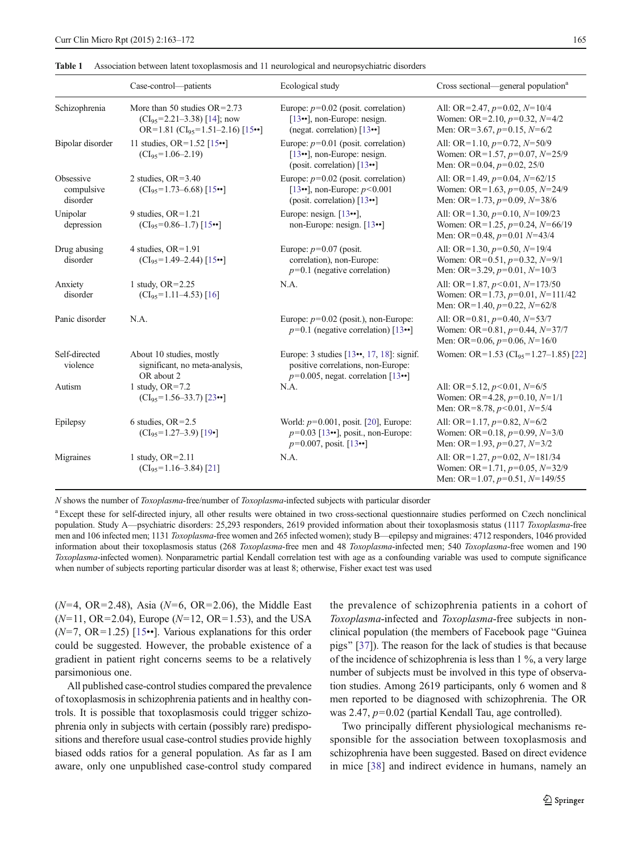<span id="page-2-0"></span>

| Table 1 |  |  | Association between latent toxoplasmosis and 11 neurological and neuropsychiatric disorders |  |  |  |  |  |
|---------|--|--|---------------------------------------------------------------------------------------------|--|--|--|--|--|
|---------|--|--|---------------------------------------------------------------------------------------------|--|--|--|--|--|

|                                     | Case-control-patients                                                                                                                  | Ecological study                                                                                                         | Cross sectional—general population <sup>a</sup>                                                                   |
|-------------------------------------|----------------------------------------------------------------------------------------------------------------------------------------|--------------------------------------------------------------------------------------------------------------------------|-------------------------------------------------------------------------------------------------------------------|
| Schizophrenia                       | More than 50 studies $OR = 2.73$<br>$\left(CI_{95}=2.21-3.38\right)$ [14]; now<br>OR=1.81 (CI <sub>95</sub> =1.51-2.16) [15 $\cdot$ •] | Europe: $p=0.02$ (posit. correlation)<br>$[13\bullet]$ , non-Europe: nesign.<br>(negat. correlation) [13••]              | All: OR=2.47, $p=0.02$ , $N=10/4$<br>Women: OR=2.10, $p=0.32$ , $N=4/2$<br>Men: OR=3.67, $p=0.15$ , $N=6/2$       |
| Bipolar disorder                    | 11 studies, OR= $1.52$ [15 $\cdot$ •]<br>$(CI_{95}=1.06-2.19)$                                                                         | Europe: $p=0.01$ (posit. correlation)<br>$[13\cdot \cdot]$ , non-Europe: nesign.<br>(posit. correlation) $[13\bullet]$   | All: OR=1.10, $p=0.72$ , $N=50/9$<br>Women: OR=1.57, $p=0.07$ , $N=25/9$<br>Men: OR=0.04, $p=0.02$ , 25/0         |
| Obsessive<br>compulsive<br>disorder | 2 studies, $OR = 3.40$<br>$\left(CI_{95}=1.73-6.68\right)$ [15]                                                                        | Europe: $p=0.02$ (posit. correlation)<br>[13…], non-Europe: $p < 0.001$<br>(posit. correlation) $[13\bullet]$            | All: OR=1.49, $p=0.04$ , $N=62/15$<br>Women: OR=1.63, $p=0.05$ , $N=24/9$<br>Men: OR=1.73, $p=0.09$ , $N=38/6$    |
| Unipolar<br>depression              | 9 studies, $OR=1.21$<br>$(Cl_{95}=0.86-1.7)$ [15]                                                                                      | Europe: nesign. [13••],<br>non-Europe: nesign. [13••]                                                                    | All: OR=1.30, $p=0.10$ , $N=109/23$<br>Women: OR=1.25, $p=0.24$ , $N=66/19$<br>Men: OR=0.48, $p=0.01 N=43/4$      |
| Drug abusing<br>disorder            | 4 studies, $OR=1.91$<br>$(CI_{95}=1.49-2.44)$ [15]                                                                                     | Europe: $p=0.07$ (posit.<br>correlation), non-Europe:<br>$p=0.1$ (negative correlation)                                  | All: OR=1.30, $p=0.50$ , $N=19/4$<br>Women: OR=0.51, $p=0.32$ , $N=9/1$<br>Men: OR=3.29, $p=0.01$ , $N=10/3$      |
| Anxiety<br>disorder                 | 1 study, $OR = 2.25$<br>$(CI_{95}=1.11-4.53)$ [16]                                                                                     | N.A.                                                                                                                     | All: OR=1.87, $p<0.01$ , $N=173/50$<br>Women: OR=1.73, $p=0.01$ , $N=111/42$<br>Men: OR=1.40, $p=0.22$ , $N=62/8$ |
| Panic disorder                      | N.A.                                                                                                                                   | Europe: $p=0.02$ (posit.), non-Europe:<br>$p=0.1$ (negative correlation) [13]                                            | All: OR=0.81, $p=0.40$ , $N=53/7$<br>Women: OR=0.81, $p=0.44$ , $N=37/7$<br>Men: OR=0.06, $p=0.06$ , $N=16/0$     |
| Self-directed<br>violence           | About 10 studies, mostly<br>significant, no meta-analysis,<br>OR about 2                                                               | Europe: 3 studies [13••, 17, 18]: signif.<br>positive correlations, non-Europe:<br>$p=0.005$ , negat. correlation [13••] | Women: OR=1.53 ( $CI_{95}$ =1.27–1.85) [22]                                                                       |
| Autism                              | 1 study, $OR = 7.2$<br>$(Cl_{95}=1.56-33.7)[23\bullet]$                                                                                | N.A.                                                                                                                     | All: OR=5.12, $p<0.01$ , $N=6/5$<br>Women: OR=4.28, $p=0.10$ , $N=1/1$<br>Men: OR=8.78, $p<0.01$ , $N=5/4$        |
| Epilepsy                            | 6 studies, OR=2.5<br>$(CI_{95}=1.27-3.9)$ [19.]                                                                                        | World: $p=0.001$ , posit. [20], Europe:<br>$p=0.03$ [13••], posit., non-Europe:<br>$p=0.007$ , posit. [13]               | All: OR=1.17, $p=0.82$ , $N=6/2$<br>Women: OR=0.18, $p=0.99$ , $N=3/0$<br>Men: OR=1.93, $p=0.27$ , $N=3/2$        |
| Migraines                           | 1 study, $OR = 2.11$<br>$(CI_{95}=1.16-3.84)$ [21]                                                                                     | N.A.                                                                                                                     | All: OR=1.27, $p=0.02$ , $N=181/34$<br>Women: OR=1.71, $p=0.05$ , $N=32/9$<br>Men: OR=1.07, $p=0.51$ , $N=149/55$ |

N shows the number of Toxoplasma-free/number of Toxoplasma-infected subjects with particular disorder

<sup>a</sup> Except these for self-directed injury, all other results were obtained in two cross-sectional questionnaire studies performed on Czech nonclinical population. Study A—psychiatric disorders: 25,293 responders, 2619 provided information about their toxoplasmosis status (1117 Toxoplasma-free men and 106 infected men; 1131 Toxoplasma-free women and 265 infected women); study B—epilepsy and migraines: 4712 responders, 1046 provided information about their toxoplasmosis status (268 Toxoplasma-free men and 48 Toxoplasma-infected men; 540 Toxoplasma-free women and 190 Toxoplasma-infected women). Nonparametric partial Kendall correlation test with age as a confounding variable was used to compute significance when number of subjects reporting particular disorder was at least 8; otherwise, Fisher exact test was used

 $(N=4, OR=2.48)$ , Asia  $(N=6, OR=2.06)$ , the Middle East  $(N=11, \text{ OR} = 2.04)$ , Europe  $(N=12, \text{ OR} = 1.53)$ , and the USA  $(N=7, \text{ OR} = 1.25)$  [\[15](#page-7-0)••]. Various explanations for this order could be suggested. However, the probable existence of a gradient in patient right concerns seems to be a relatively parsimonious one.

All published case-control studies compared the prevalence of toxoplasmosis in schizophrenia patients and in healthy controls. It is possible that toxoplasmosis could trigger schizophrenia only in subjects with certain (possibly rare) predispositions and therefore usual case-control studies provide highly biased odds ratios for a general population. As far as I am aware, only one unpublished case-control study compared the prevalence of schizophrenia patients in a cohort of Toxoplasma-infected and Toxoplasma-free subjects in nonclinical population (the members of Facebook page "Guinea pigs^ [\[37\]](#page-8-0)). The reason for the lack of studies is that because of the incidence of schizophrenia is less than 1 %, a very large number of subjects must be involved in this type of observation studies. Among 2619 participants, only 6 women and 8 men reported to be diagnosed with schizophrenia. The OR was 2.47, p=0.02 (partial Kendall Tau, age controlled).

Two principally different physiological mechanisms responsible for the association between toxoplasmosis and schizophrenia have been suggested. Based on direct evidence in mice [\[38](#page-8-0)] and indirect evidence in humans, namely an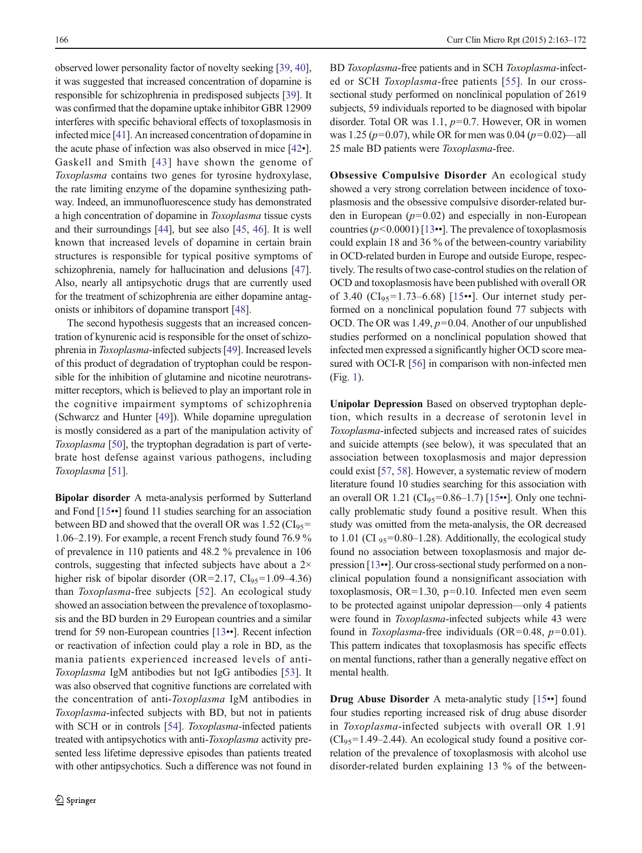observed lower personality factor of novelty seeking [\[39](#page-8-0), [40\]](#page-8-0), it was suggested that increased concentration of dopamine is responsible for schizophrenia in predisposed subjects [\[39\]](#page-8-0). It was confirmed that the dopamine uptake inhibitor GBR 12909 interferes with specific behavioral effects of toxoplasmosis in infected mice [[41](#page-8-0)]. An increased concentration of dopamine in the acute phase of infection was also observed in mice [\[42](#page-8-0)•]. Gaskell and Smith [[43\]](#page-8-0) have shown the genome of Toxoplasma contains two genes for tyrosine hydroxylase, the rate limiting enzyme of the dopamine synthesizing pathway. Indeed, an immunofluorescence study has demonstrated a high concentration of dopamine in Toxoplasma tissue cysts and their surroundings [[44](#page-8-0)], but see also [\[45,](#page-8-0) [46\]](#page-8-0). It is well known that increased levels of dopamine in certain brain structures is responsible for typical positive symptoms of schizophrenia, namely for hallucination and delusions [[47](#page-8-0)]. Also, nearly all antipsychotic drugs that are currently used for the treatment of schizophrenia are either dopamine antagonists or inhibitors of dopamine transport [\[48\]](#page-8-0).

The second hypothesis suggests that an increased concentration of kynurenic acid is responsible for the onset of schizophrenia in Toxoplasma-infected subjects [\[49](#page-8-0)]. Increased levels of this product of degradation of tryptophan could be responsible for the inhibition of glutamine and nicotine neurotransmitter receptors, which is believed to play an important role in the cognitive impairment symptoms of schizophrenia (Schwarcz and Hunter [[49](#page-8-0)]). While dopamine upregulation is mostly considered as a part of the manipulation activity of Toxoplasma [[50](#page-8-0)], the tryptophan degradation is part of vertebrate host defense against various pathogens, including Toxoplasma [[51](#page-8-0)].

Bipolar disorder A meta-analysis performed by Sutterland and Fond [\[15](#page-7-0)••] found 11 studies searching for an association between BD and showed that the overall OR was  $1.52$  (CI<sub>95</sub>= 1.06–2.19). For example, a recent French study found 76.9 % of prevalence in 110 patients and 48.2 % prevalence in 106 controls, suggesting that infected subjects have about a  $2\times$ higher risk of bipolar disorder (OR=2.17,  $CI_{95} = 1.09 - 4.36$ ) than Toxoplasma-free subjects [[52](#page-8-0)]. An ecological study showed an association between the prevalence of toxoplasmosis and the BD burden in 29 European countries and a similar trend for 59 non-European countries [\[13](#page-7-0)••]. Recent infection or reactivation of infection could play a role in BD, as the mania patients experienced increased levels of anti-Toxoplasma IgM antibodies but not IgG antibodies [\[53\]](#page-8-0). It was also observed that cognitive functions are correlated with the concentration of anti-Toxoplasma IgM antibodies in Toxoplasma-infected subjects with BD, but not in patients with SCH or in controls [[54](#page-8-0)]. Toxoplasma-infected patients treated with antipsychotics with anti-Toxoplasma activity presented less lifetime depressive episodes than patients treated with other antipsychotics. Such a difference was not found in BD Toxoplasma-free patients and in SCH Toxoplasma-infected or SCH Toxoplasma-free patients [[55](#page-8-0)]. In our crosssectional study performed on nonclinical population of 2619 subjects, 59 individuals reported to be diagnosed with bipolar disorder. Total OR was 1.1,  $p=0.7$ . However, OR in women was 1.25 ( $p=0.07$ ), while OR for men was 0.04 ( $p=0.02$ )—all 25 male BD patients were Toxoplasma-free.

Obsessive Compulsive Disorder An ecological study showed a very strong correlation between incidence of toxoplasmosis and the obsessive compulsive disorder-related burden in European  $(p=0.02)$  and especially in non-European countries  $(p<0.0001)$  [[13](#page-7-0)••]. The prevalence of toxoplasmosis could explain 18 and 36 % of the between-country variability in OCD-related burden in Europe and outside Europe, respectively. The results of two case-control studies on the relation of OCD and toxoplasmosis have been published with overall OR of 3.40 ( $CI_{95} = 1.73 - 6.68$ ) [\[15](#page-7-0)••]. Our internet study performed on a nonclinical population found 77 subjects with OCD. The OR was  $1.49$ ,  $p=0.04$ . Another of our unpublished studies performed on a nonclinical population showed that infected men expressed a significantly higher OCD score mea-sured with OCI-R [\[56\]](#page-8-0) in comparison with non-infected men (Fig. [1](#page-4-0)).

Unipolar Depression Based on observed tryptophan depletion, which results in a decrease of serotonin level in Toxoplasma-infected subjects and increased rates of suicides and suicide attempts (see below), it was speculated that an association between toxoplasmosis and major depression could exist [[57](#page-9-0), [58\]](#page-9-0). However, a systematic review of modern literature found 10 studies searching for this association with an overall OR 1.21 ( $CI_{95} = 0.86 - 1.7$ ) [[15](#page-7-0)••]. Only one technically problematic study found a positive result. When this study was omitted from the meta-analysis, the OR decreased to 1.01 (CI  $_{95}$ =0.80–1.28). Additionally, the ecological study found no association between toxoplasmosis and major depression [\[13](#page-7-0)••]. Our cross-sectional study performed on a nonclinical population found a nonsignificant association with toxoplasmosis, OR=1.30, p=0.10. Infected men even seem to be protected against unipolar depression—only 4 patients were found in Toxoplasma-infected subjects while 43 were found in *Toxoplasma*-free individuals (OR=0.48,  $p=0.01$ ). This pattern indicates that toxoplasmosis has specific effects on mental functions, rather than a generally negative effect on mental health.

Drug Abuse Disorder A meta-analytic study [[15](#page-7-0)••] found four studies reporting increased risk of drug abuse disorder in Toxoplasma-infected subjects with overall OR 1.91  $(CI_{95}=1.49-2.44)$ . An ecological study found a positive correlation of the prevalence of toxoplasmosis with alcohol use disorder-related burden explaining 13 % of the between-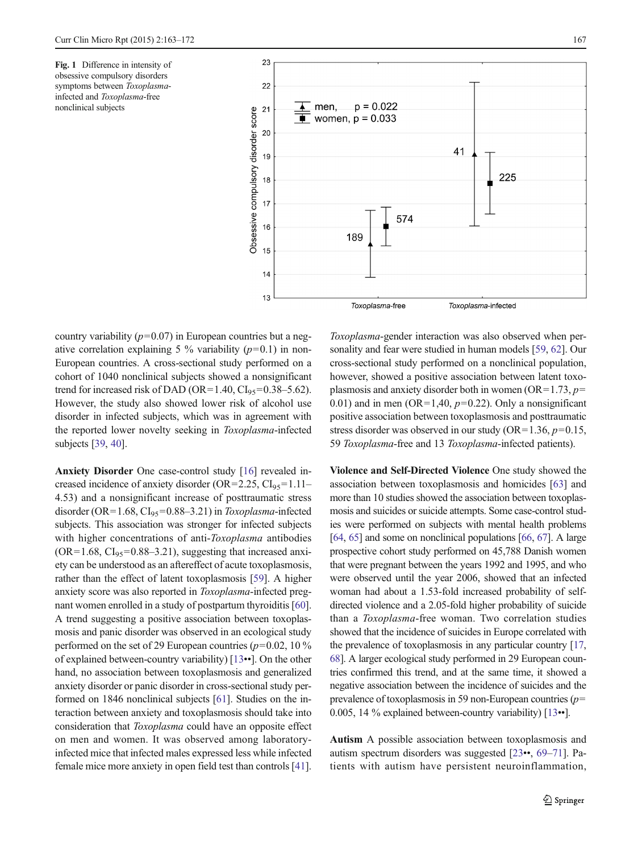<span id="page-4-0"></span>



country variability  $(p=0.07)$  in European countries but a negative correlation explaining 5 % variability  $(p=0.1)$  in non-European countries. A cross-sectional study performed on a cohort of 1040 nonclinical subjects showed a nonsignificant trend for increased risk of DAD (OR=1.40,  $CI<sub>95</sub>=0.38-5.62$ ). However, the study also showed lower risk of alcohol use disorder in infected subjects, which was in agreement with the reported lower novelty seeking in Toxoplasma-infected subjects [[39,](#page-8-0) [40\]](#page-8-0).

Anxiety Disorder One case-control study [[16](#page-7-0)] revealed increased incidence of anxiety disorder (OR=2.25,  $CI_{95} = 1.11-$ 4.53) and a nonsignificant increase of posttraumatic stress disorder (OR=1.68,  $CI<sub>95</sub>=0.88-3.21$ ) in *Toxoplasma*-infected subjects. This association was stronger for infected subjects with higher concentrations of anti-*Toxoplasma* antibodies  $(OR=1.68, CI<sub>95</sub>=0.88-3.21)$ , suggesting that increased anxiety can be understood as an aftereffect of acute toxoplasmosis, rather than the effect of latent toxoplasmosis [\[59\]](#page-9-0). A higher anxiety score was also reported in Toxoplasma-infected pregnant women enrolled in a study of postpartum thyroiditis [[60\]](#page-9-0). A trend suggesting a positive association between toxoplasmosis and panic disorder was observed in an ecological study performed on the set of 29 European countries ( $p=0.02$ , 10 % of explained between-country variability) [[13](#page-7-0)••]. On the other hand, no association between toxoplasmosis and generalized anxiety disorder or panic disorder in cross-sectional study performed on 1846 nonclinical subjects [[61\]](#page-9-0). Studies on the interaction between anxiety and toxoplasmosis should take into consideration that Toxoplasma could have an opposite effect on men and women. It was observed among laboratoryinfected mice that infected males expressed less while infected female mice more anxiety in open field test than controls [[41\]](#page-8-0).

Toxoplasma-gender interaction was also observed when personality and fear were studied in human models [[59](#page-9-0), [62](#page-9-0)]. Our cross-sectional study performed on a nonclinical population, however, showed a positive association between latent toxoplasmosis and anxiety disorder both in women (OR=1.73,  $p=$ 0.01) and in men (OR=1,40,  $p=0.22$ ). Only a nonsignificant positive association between toxoplasmosis and posttraumatic stress disorder was observed in our study (OR=1.36,  $p=0.15$ , 59 Toxoplasma-free and 13 Toxoplasma-infected patients).

Violence and Self-Directed Violence One study showed the association between toxoplasmosis and homicides [\[63](#page-9-0)] and more than 10 studies showed the association between toxoplasmosis and suicides or suicide attempts. Some case-control studies were performed on subjects with mental health problems [\[64,](#page-9-0) [65](#page-9-0)] and some on nonclinical populations [\[66,](#page-9-0) [67\]](#page-9-0). A large prospective cohort study performed on 45,788 Danish women that were pregnant between the years 1992 and 1995, and who were observed until the year 2006, showed that an infected woman had about a 1.53-fold increased probability of selfdirected violence and a 2.05-fold higher probability of suicide than a Toxoplasma-free woman. Two correlation studies showed that the incidence of suicides in Europe correlated with the prevalence of toxoplasmosis in any particular country [\[17,](#page-7-0) [68\]](#page-9-0). A larger ecological study performed in 29 European countries confirmed this trend, and at the same time, it showed a negative association between the incidence of suicides and the prevalence of toxoplasmosis in 59 non-European countries  $(p=$ 0.005, 14 % explained between-country variability) [\[13](#page-7-0)••].

Autism A possible association between toxoplasmosis and autism spectrum disorders was suggested [[23](#page-8-0)••, [69](#page-9-0)–[71](#page-9-0)]. Patients with autism have persistent neuroinflammation,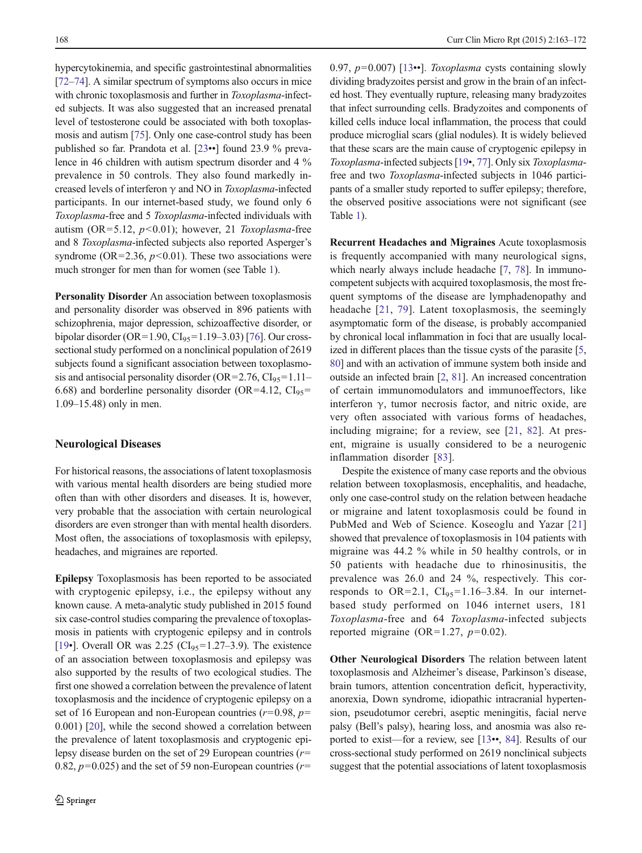hypercytokinemia, and specific gastrointestinal abnormalities [\[72](#page-9-0)–[74\]](#page-9-0). A similar spectrum of symptoms also occurs in mice with chronic toxoplasmosis and further in *Toxoplasma*-infected subjects. It was also suggested that an increased prenatal level of testosterone could be associated with both toxoplasmosis and autism [[75](#page-9-0)]. Only one case-control study has been published so far. Prandota et al. [[23](#page-8-0)••] found 23.9 % prevalence in 46 children with autism spectrum disorder and 4 % prevalence in 50 controls. They also found markedly increased levels of interferon  $\gamma$  and NO in *Toxoplasma*-infected participants. In our internet-based study, we found only 6 Toxoplasma-free and 5 Toxoplasma-infected individuals with autism (OR=5.12,  $p$ <0.01); however, 21 Toxoplasma-free and 8 Toxoplasma-infected subjects also reported Asperger's syndrome (OR=2.36,  $p<0.01$ ). These two associations were much stronger for men than for women (see Table [1](#page-2-0)).

Personality Disorder An association between toxoplasmosis and personality disorder was observed in 896 patients with schizophrenia, major depression, schizoaffective disorder, or bipolar disorder (OR=1.90, CI<sub>95</sub>=1.19–3.03) [\[76](#page-9-0)]. Our crosssectional study performed on a nonclinical population of 2619 subjects found a significant association between toxoplasmosis and antisocial personality disorder (OR=2.76,  $CI<sub>95</sub>=1.11-$ 6.68) and borderline personality disorder (OR=4.12,  $CI_{95}$ = 1.09–15.48) only in men.

#### Neurological Diseases

For historical reasons, the associations of latent toxoplasmosis with various mental health disorders are being studied more often than with other disorders and diseases. It is, however, very probable that the association with certain neurological disorders are even stronger than with mental health disorders. Most often, the associations of toxoplasmosis with epilepsy, headaches, and migraines are reported.

Epilepsy Toxoplasmosis has been reported to be associated with cryptogenic epilepsy, i.e., the epilepsy without any known cause. A meta-analytic study published in 2015 found six case-control studies comparing the prevalence of toxoplasmosis in patients with cryptogenic epilepsy and in controls [\[19](#page-7-0)•]. Overall OR was 2.25 ( $CI_{95} = 1.27 - 3.9$ ). The existence of an association between toxoplasmosis and epilepsy was also supported by the results of two ecological studies. The first one showed a correlation between the prevalence of latent toxoplasmosis and the incidence of cryptogenic epilepsy on a set of 16 European and non-European countries ( $r=0.98$ ,  $p=$ 0.001) [[20](#page-7-0)], while the second showed a correlation between the prevalence of latent toxoplasmosis and cryptogenic epilepsy disease burden on the set of 29 European countries ( $r=$ 0.82,  $p=0.025$ ) and the set of 59 non-European countries ( $r=$ 

0.97,  $p=0.007$  [[13](#page-7-0)••]. Toxoplasma cysts containing slowly dividing bradyzoites persist and grow in the brain of an infected host. They eventually rupture, releasing many bradyzoites that infect surrounding cells. Bradyzoites and components of killed cells induce local inflammation, the process that could produce microglial scars (glial nodules). It is widely believed that these scars are the main cause of cryptogenic epilepsy in Toxoplasma-infected subjects [\[19](#page-7-0)•, [77](#page-9-0)]. Only six Toxoplasmafree and two Toxoplasma-infected subjects in 1046 participants of a smaller study reported to suffer epilepsy; therefore, the observed positive associations were not significant (see Table [1](#page-2-0)).

Recurrent Headaches and Migraines Acute toxoplasmosis is frequently accompanied with many neurological signs, which nearly always include headache [[7,](#page-7-0) [78\]](#page-9-0). In immunocompetent subjects with acquired toxoplasmosis, the most frequent symptoms of the disease are lymphadenopathy and headache [[21](#page-8-0), [79](#page-9-0)]. Latent toxoplasmosis, the seemingly asymptomatic form of the disease, is probably accompanied by chronical local inflammation in foci that are usually localized in different places than the tissue cysts of the parasite [[5,](#page-7-0) [80\]](#page-9-0) and with an activation of immune system both inside and outside an infected brain [[2,](#page-7-0) [81\]](#page-9-0). An increased concentration of certain immunomodulators and immunoeffectors, like interferon  $\gamma$ , tumor necrosis factor, and nitric oxide, are very often associated with various forms of headaches, including migraine; for a review, see [[21,](#page-8-0) [82](#page-9-0)]. At present, migraine is usually considered to be a neurogenic inflammation disorder [[83](#page-9-0)].

Despite the existence of many case reports and the obvious relation between toxoplasmosis, encephalitis, and headache, only one case-control study on the relation between headache or migraine and latent toxoplasmosis could be found in PubMed and Web of Science. Koseoglu and Yazar [[21\]](#page-8-0) showed that prevalence of toxoplasmosis in 104 patients with migraine was 44.2 % while in 50 healthy controls, or in 50 patients with headache due to rhinosinusitis, the prevalence was 26.0 and 24 %, respectively. This corresponds to  $OR=2.1$ ,  $CI_{95}=1.16-3.84$ . In our internetbased study performed on 1046 internet users, 181 Toxoplasma-free and 64 Toxoplasma-infected subjects reported migraine (OR=1.27,  $p=0.02$ ).

Other Neurological Disorders The relation between latent toxoplasmosis and Alzheimer's disease, Parkinson's disease, brain tumors, attention concentration deficit, hyperactivity, anorexia, Down syndrome, idiopathic intracranial hypertension, pseudotumor cerebri, aseptic meningitis, facial nerve palsy (Bell's palsy), hearing loss, and anosmia was also reported to exist—for a review, see [\[13](#page-7-0)••, [84\]](#page-9-0). Results of our cross-sectional study performed on 2619 nonclinical subjects suggest that the potential associations of latent toxoplasmosis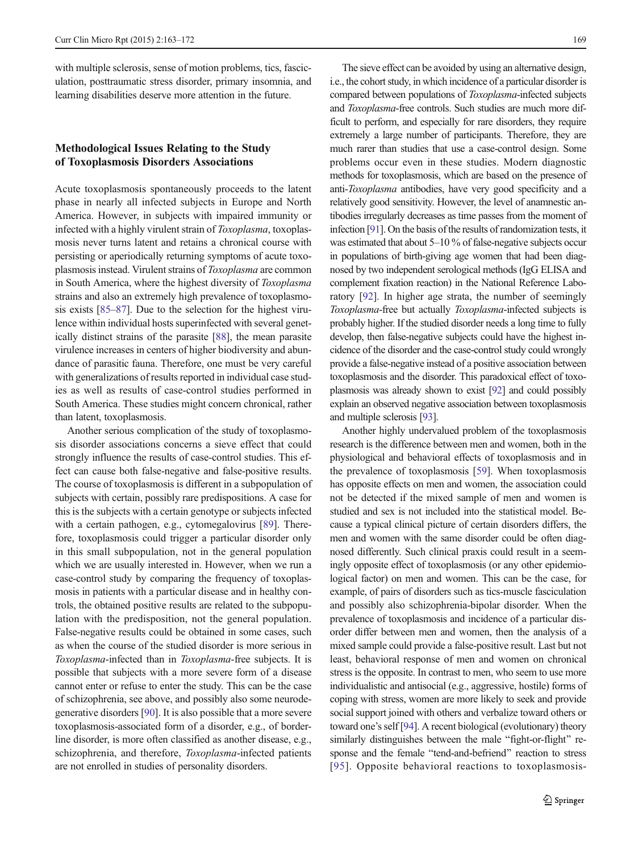with multiple sclerosis, sense of motion problems, tics, fasciculation, posttraumatic stress disorder, primary insomnia, and learning disabilities deserve more attention in the future.

## Methodological Issues Relating to the Study of Toxoplasmosis Disorders Associations

Acute toxoplasmosis spontaneously proceeds to the latent phase in nearly all infected subjects in Europe and North America. However, in subjects with impaired immunity or infected with a highly virulent strain of *Toxoplasma*, toxoplasmosis never turns latent and retains a chronical course with persisting or aperiodically returning symptoms of acute toxoplasmosis instead. Virulent strains of Toxoplasma are common in South America, where the highest diversity of Toxoplasma strains and also an extremely high prevalence of toxoplasmosis exists [[85](#page-9-0)–[87](#page-9-0)]. Due to the selection for the highest virulence within individual hosts superinfected with several genetically distinct strains of the parasite [\[88\]](#page-9-0), the mean parasite virulence increases in centers of higher biodiversity and abundance of parasitic fauna. Therefore, one must be very careful with generalizations of results reported in individual case studies as well as results of case-control studies performed in South America. These studies might concern chronical, rather than latent, toxoplasmosis.

Another serious complication of the study of toxoplasmosis disorder associations concerns a sieve effect that could strongly influence the results of case-control studies. This effect can cause both false-negative and false-positive results. The course of toxoplasmosis is different in a subpopulation of subjects with certain, possibly rare predispositions. A case for this is the subjects with a certain genotype or subjects infected with a certain pathogen, e.g., cytomegalovirus [\[89\]](#page-9-0). Therefore, toxoplasmosis could trigger a particular disorder only in this small subpopulation, not in the general population which we are usually interested in. However, when we run a case-control study by comparing the frequency of toxoplasmosis in patients with a particular disease and in healthy controls, the obtained positive results are related to the subpopulation with the predisposition, not the general population. False-negative results could be obtained in some cases, such as when the course of the studied disorder is more serious in Toxoplasma-infected than in Toxoplasma-free subjects. It is possible that subjects with a more severe form of a disease cannot enter or refuse to enter the study. This can be the case of schizophrenia, see above, and possibly also some neurodegenerative disorders [[90\]](#page-9-0). It is also possible that a more severe toxoplasmosis-associated form of a disorder, e.g., of borderline disorder, is more often classified as another disease, e.g., schizophrenia, and therefore, *Toxoplasma*-infected patients are not enrolled in studies of personality disorders.

The sieve effect can be avoided by using an alternative design, i.e., the cohort study, in which incidence of a particular disorder is compared between populations of Toxoplasma-infected subjects and Toxoplasma-free controls. Such studies are much more difficult to perform, and especially for rare disorders, they require extremely a large number of participants. Therefore, they are much rarer than studies that use a case-control design. Some problems occur even in these studies. Modern diagnostic methods for toxoplasmosis, which are based on the presence of anti-Toxoplasma antibodies, have very good specificity and a relatively good sensitivity. However, the level of anamnestic antibodies irregularly decreases as time passes from the moment of infection [\[91\]](#page-9-0). On the basis of the results of randomization tests, it was estimated that about 5–10 % of false-negative subjects occur in populations of birth-giving age women that had been diagnosed by two independent serological methods (IgG ELISA and complement fixation reaction) in the National Reference Laboratory [[92](#page-9-0)]. In higher age strata, the number of seemingly Toxoplasma-free but actually Toxoplasma-infected subjects is probably higher. If the studied disorder needs a long time to fully develop, then false-negative subjects could have the highest incidence of the disorder and the case-control study could wrongly provide a false-negative instead of a positive association between toxoplasmosis and the disorder. This paradoxical effect of toxoplasmosis was already shown to exist [\[92\]](#page-9-0) and could possibly explain an observed negative association between toxoplasmosis and multiple sclerosis [\[93\]](#page-9-0).

Another highly undervalued problem of the toxoplasmosis research is the difference between men and women, both in the physiological and behavioral effects of toxoplasmosis and in the prevalence of toxoplasmosis [\[59\]](#page-9-0). When toxoplasmosis has opposite effects on men and women, the association could not be detected if the mixed sample of men and women is studied and sex is not included into the statistical model. Because a typical clinical picture of certain disorders differs, the men and women with the same disorder could be often diagnosed differently. Such clinical praxis could result in a seemingly opposite effect of toxoplasmosis (or any other epidemiological factor) on men and women. This can be the case, for example, of pairs of disorders such as tics-muscle fasciculation and possibly also schizophrenia-bipolar disorder. When the prevalence of toxoplasmosis and incidence of a particular disorder differ between men and women, then the analysis of a mixed sample could provide a false-positive result. Last but not least, behavioral response of men and women on chronical stress is the opposite. In contrast to men, who seem to use more individualistic and antisocial (e.g., aggressive, hostile) forms of coping with stress, women are more likely to seek and provide social support joined with others and verbalize toward others or toward one's self [\[94](#page-9-0)]. A recent biological (evolutionary) theory similarly distinguishes between the male "fight-or-flight" response and the female "tend-and-befriend" reaction to stress [[95](#page-9-0)]. Opposite behavioral reactions to toxoplasmosis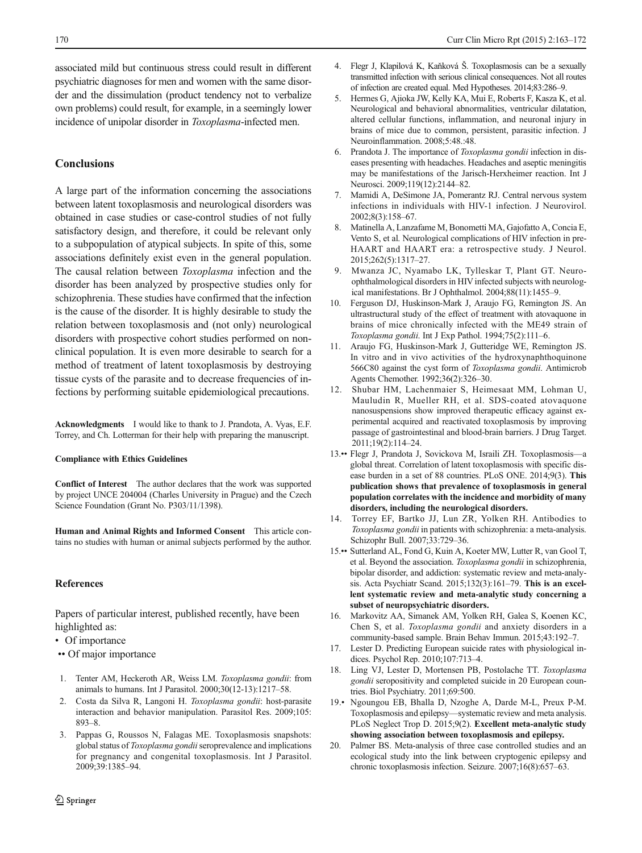<span id="page-7-0"></span>170 Curr Clin Micro Rpt (2015) 2:163–172

associated mild but continuous stress could result in different psychiatric diagnoses for men and women with the same disorder and the dissimulation (product tendency not to verbalize own problems) could result, for example, in a seemingly lower incidence of unipolar disorder in *Toxoplasma*-infected men.

## **Conclusions**

A large part of the information concerning the associations between latent toxoplasmosis and neurological disorders was obtained in case studies or case-control studies of not fully satisfactory design, and therefore, it could be relevant only to a subpopulation of atypical subjects. In spite of this, some associations definitely exist even in the general population. The causal relation between Toxoplasma infection and the disorder has been analyzed by prospective studies only for schizophrenia. These studies have confirmed that the infection is the cause of the disorder. It is highly desirable to study the relation between toxoplasmosis and (not only) neurological disorders with prospective cohort studies performed on nonclinical population. It is even more desirable to search for a method of treatment of latent toxoplasmosis by destroying tissue cysts of the parasite and to decrease frequencies of infections by performing suitable epidemiological precautions.

Acknowledgments I would like to thank to J. Prandota, A. Vyas, E.F. Torrey, and Ch. Lotterman for their help with preparing the manuscript.

#### Compliance with Ethics Guidelines

Conflict of Interest The author declares that the work was supported by project UNCE 204004 (Charles University in Prague) and the Czech Science Foundation (Grant No. P303/11/1398).

Human and Animal Rights and Informed Consent This article contains no studies with human or animal subjects performed by the author.

#### References

Papers of particular interest, published recently, have been highlighted as:

- Of importance
- •• Of major importance
- 1. Tenter AM, Heckeroth AR, Weiss LM. Toxoplasma gondii: from animals to humans. Int J Parasitol. 2000;30(12-13):1217–58.
- 2. Costa da Silva R, Langoni H. Toxoplasma gondii: host-parasite interaction and behavior manipulation. Parasitol Res. 2009;105: 893–8.
- 3. Pappas G, Roussos N, Falagas ME. Toxoplasmosis snapshots: global status of Toxoplasma gondii seroprevalence and implications for pregnancy and congenital toxoplasmosis. Int J Parasitol. 2009;39:1385–94.
- 5. Hermes G, Ajioka JW, Kelly KA, Mui E, Roberts F, Kasza K, et al. Neurological and behavioral abnormalities, ventricular dilatation, altered cellular functions, inflammation, and neuronal injury in brains of mice due to common, persistent, parasitic infection. J Neuroinflammation. 2008;5:48.:48.
- 6. Prandota J. The importance of Toxoplasma gondii infection in diseases presenting with headaches. Headaches and aseptic meningitis may be manifestations of the Jarisch-Herxheimer reaction. Int J Neurosci. 2009;119(12):2144–82.
- 7. Mamidi A, DeSimone JA, Pomerantz RJ. Central nervous system infections in individuals with HIV-1 infection. J Neurovirol. 2002;8(3):158–67.
- 8. Matinella A, Lanzafame M, Bonometti MA, Gajofatto A, Concia E, Vento S, et al. Neurological complications of HIV infection in pre-HAART and HAART era: a retrospective study. J Neurol. 2015;262(5):1317–27.
- 9. Mwanza JC, Nyamabo LK, Tylleskar T, Plant GT. Neuroophthalmological disorders in HIV infected subjects with neurological manifestations. Br J Ophthalmol. 2004;88(11):1455–9.
- 10. Ferguson DJ, Huskinson-Mark J, Araujo FG, Remington JS. An ultrastructural study of the effect of treatment with atovaquone in brains of mice chronically infected with the ME49 strain of Toxoplasma gondii. Int J Exp Pathol. 1994;75(2):111–6.
- 11. Araujo FG, Huskinson-Mark J, Gutteridge WE, Remington JS. In vitro and in vivo activities of the hydroxynaphthoquinone 566C80 against the cyst form of Toxoplasma gondii. Antimicrob Agents Chemother. 1992;36(2):326–30.
- 12. Shubar HM, Lachenmaier S, Heimesaat MM, Lohman U, Mauludin R, Mueller RH, et al. SDS-coated atovaquone nanosuspensions show improved therapeutic efficacy against experimental acquired and reactivated toxoplasmosis by improving passage of gastrointestinal and blood-brain barriers. J Drug Target. 2011;19(2):114–24.
- 13.•• Flegr J, Prandota J, Sovickova M, Israili ZH. Toxoplasmosis—a global threat. Correlation of latent toxoplasmosis with specific disease burden in a set of 88 countries. PLoS ONE. 2014;9(3). This publication shows that prevalence of toxoplasmosis in general population correlates with the incidence and morbidity of many disorders, including the neurological disorders.
- 14. Torrey EF, Bartko JJ, Lun ZR, Yolken RH. Antibodies to Toxoplasma gondii in patients with schizophrenia: a meta-analysis. Schizophr Bull. 2007;33:729–36.
- 15.•• Sutterland AL, Fond G, Kuin A, Koeter MW, Lutter R, van Gool T, et al. Beyond the association. Toxoplasma gondii in schizophrenia, bipolar disorder, and addiction: systematic review and meta-analysis. Acta Psychiatr Scand. 2015;132(3):161–79. This is an excellent systematic review and meta-analytic study concerning a subset of neuropsychiatric disorders.
- 16. Markovitz AA, Simanek AM, Yolken RH, Galea S, Koenen KC, Chen S, et al. Toxoplasma gondii and anxiety disorders in a community-based sample. Brain Behav Immun. 2015;43:192–7.
- 17. Lester D. Predicting European suicide rates with physiological indices. Psychol Rep. 2010;107:713–4.
- 18. Ling VJ, Lester D, Mortensen PB, Postolache TT. Toxoplasma gondii seropositivity and completed suicide in 20 European countries. Biol Psychiatry. 2011;69:500.
- 19.• Ngoungou EB, Bhalla D, Nzoghe A, Darde M-L, Preux P-M. Toxoplasmosis and epilepsy—systematic review and meta analysis. PLoS Neglect Trop D. 2015;9(2). Excellent meta-analytic study showing association between toxoplasmosis and epilepsy.
- 20. Palmer BS. Meta-analysis of three case controlled studies and an ecological study into the link between cryptogenic epilepsy and chronic toxoplasmosis infection. Seizure. 2007;16(8):657–63.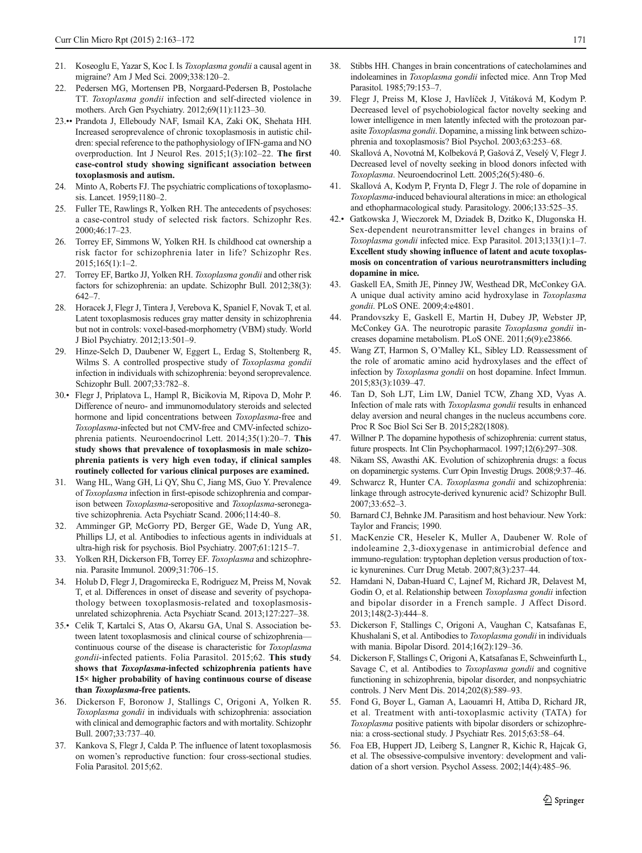- <span id="page-8-0"></span>21. Koseoglu E, Yazar S, Koc I. Is Toxoplasma gondii a causal agent in migraine? Am J Med Sci. 2009;338:120–2.
- 22. Pedersen MG, Mortensen PB, Norgaard-Pedersen B, Postolache TT. Toxoplasma gondii infection and self-directed violence in mothers. Arch Gen Psychiatry. 2012;69(11):1123–30.
- 23.•• Prandota J, Elleboudy NAF, Ismail KA, Zaki OK, Shehata HH. Increased seroprevalence of chronic toxoplasmosis in autistic children: special reference to the pathophysiology of IFN-gama and NO overproduction. Int J Neurol Res. 2015;1(3):102–22. The first case-control study showing significant association between toxoplasmosis and autism.
- 24. Minto A, Roberts FJ. The psychiatric complications of toxoplasmosis. Lancet. 1959;1180–2.
- 25. Fuller TE, Rawlings R, Yolken RH. The antecedents of psychoses: a case-control study of selected risk factors. Schizophr Res. 2000;46:17–23.
- 26. Torrey EF, Simmons W, Yolken RH. Is childhood cat ownership a risk factor for schizophrenia later in life? Schizophr Res. 2015;165(1):1–2.
- 27. Torrey EF, Bartko JJ, Yolken RH. Toxoplasma gondii and other risk factors for schizophrenia: an update. Schizophr Bull. 2012;38(3): 642–7.
- 28. Horacek J, Flegr J, Tintera J, Verebova K, Spaniel F, Novak T, et al. Latent toxoplasmosis reduces gray matter density in schizophrenia but not in controls: voxel-based-morphometry (VBM) study. World J Biol Psychiatry. 2012;13:501–9.
- 29. Hinze-Selch D, Daubener W, Eggert L, Erdag S, Stoltenberg R, Wilms S. A controlled prospective study of Toxoplasma gondii infection in individuals with schizophrenia: beyond seroprevalence. Schizophr Bull. 2007;33:782–8.
- 30.• Flegr J, Priplatova L, Hampl R, Bicikovia M, Ripova D, Mohr P. Difference of neuro- and immunomodulatory steroids and selected hormone and lipid concentrations between Toxoplasma-free and Toxoplasma-infected but not CMV-free and CMV-infected schizophrenia patients. Neuroendocrinol Lett. 2014;35(1):20–7. This study shows that prevalence of toxoplasmosis in male schizophrenia patients is very high even today, if clinical samples routinely collected for various clinical purposes are examined.
- 31. Wang HL, Wang GH, Li QY, Shu C, Jiang MS, Guo Y. Prevalence of Toxoplasma infection in first-episode schizophrenia and comparison between Toxoplasma-seropositive and Toxoplasma-seronegative schizophrenia. Acta Psychiatr Scand. 2006;114:40–8.
- 32. Amminger GP, McGorry PD, Berger GE, Wade D, Yung AR, Phillips LJ, et al. Antibodies to infectious agents in individuals at ultra-high risk for psychosis. Biol Psychiatry. 2007;61:1215–7.
- 33. Yolken RH, Dickerson FB, Torrey EF. Toxoplasma and schizophrenia. Parasite Immunol. 2009;31:706–15.
- 34. Holub D, Flegr J, Dragomirecka E, Rodriguez M, Preiss M, Novak T, et al. Differences in onset of disease and severity of psychopathology between toxoplasmosis-related and toxoplasmosisunrelated schizophrenia. Acta Psychiatr Scand. 2013;127:227–38.
- 35.• Celik T, Kartalci S, Atas O, Akarsu GA, Unal S. Association between latent toxoplasmosis and clinical course of schizophrenia continuous course of the disease is characteristic for Toxoplasma gondii-infected patients. Folia Parasitol. 2015;62. This study shows that Toxoplasma-infected schizophrenia patients have 15× higher probability of having continuous course of disease than Toxoplasma-free patients.
- 36. Dickerson F, Boronow J, Stallings C, Origoni A, Yolken R. Toxoplasma gondii in individuals with schizophrenia: association with clinical and demographic factors and with mortality. Schizophr Bull. 2007;33:737–40.
- 37. Kankova S, Flegr J, Calda P. The influence of latent toxoplasmosis on women's reproductive function: four cross-sectional studies. Folia Parasitol. 2015;62.
- 38. Stibbs HH. Changes in brain concentrations of catecholamines and indoleamines in Toxoplasma gondii infected mice. Ann Trop Med Parasitol. 1985;79:153–7.
- 39. Flegr J, Preiss M, Klose J, Havlíček J, Vitáková M, Kodym P. Decreased level of psychobiological factor novelty seeking and lower intelligence in men latently infected with the protozoan parasite Toxoplasma gondii. Dopamine, a missing link between schizophrenia and toxoplasmosis? Biol Psychol. 2003;63:253–68.
- 40. Skallová A, Novotná M, Kolbeková P, Gašová Z, Veselý V, Flegr J. Decreased level of novelty seeking in blood donors infected with Toxoplasma. Neuroendocrinol Lett. 2005;26(5):480–6.
- 41. Skallová A, Kodym P, Frynta D, Flegr J. The role of dopamine in Toxoplasma-induced behavioural alterations in mice: an ethological and ethopharmacological study. Parasitology. 2006;133:525–35.
- 42.• Gatkowska J, Wieczorek M, Dziadek B, Dzitko K, Dlugonska H. Sex-dependent neurotransmitter level changes in brains of Toxoplasma gondii infected mice. Exp Parasitol. 2013;133(1):1–7. Excellent study showing influence of latent and acute toxoplasmosis on concentration of various neurotransmitters including dopamine in mice.
- 43. Gaskell EA, Smith JE, Pinney JW, Westhead DR, McConkey GA. A unique dual activity amino acid hydroxylase in Toxoplasma gondii. PLoS ONE. 2009;4:e4801.
- 44. Prandovszky E, Gaskell E, Martin H, Dubey JP, Webster JP, McConkey GA. The neurotropic parasite Toxoplasma gondii increases dopamine metabolism. PLoS ONE. 2011;6(9):e23866.
- 45. Wang ZT, Harmon S, O'Malley KL, Sibley LD. Reassessment of the role of aromatic amino acid hydroxylases and the effect of infection by *Toxoplasma gondii* on host dopamine. Infect Immun. 2015;83(3):1039–47.
- 46. Tan D, Soh LJT, Lim LW, Daniel TCW, Zhang XD, Vyas A. Infection of male rats with Toxoplasma gondii results in enhanced delay aversion and neural changes in the nucleus accumbens core. Proc R Soc Biol Sci Ser B. 2015;282(1808).
- 47. Willner P. The dopamine hypothesis of schizophrenia: current status, future prospects. Int Clin Psychopharmacol. 1997;12(6):297–308.
- 48. Nikam SS, Awasthi AK. Evolution of schizophrenia drugs: a focus on dopaminergic systems. Curr Opin Investig Drugs. 2008;9:37–46.
- 49. Schwarcz R, Hunter CA. Toxoplasma gondii and schizophrenia: linkage through astrocyte-derived kynurenic acid? Schizophr Bull. 2007;33:652–3.
- 50. Barnard CJ, Behnke JM. Parasitism and host behaviour. New York: Taylor and Francis; 1990.
- 51. MacKenzie CR, Heseler K, Muller A, Daubener W. Role of indoleamine 2,3-dioxygenase in antimicrobial defence and immuno-regulation: tryptophan depletion versus production of toxic kynurenines. Curr Drug Metab. 2007;8(3):237–44.
- 52. Hamdani N, Daban-Huard C, Lajnef M, Richard JR, Delavest M, Godin O, et al. Relationship between Toxoplasma gondii infection and bipolar disorder in a French sample. J Affect Disord. 2013;148(2-3):444–8.
- 53. Dickerson F, Stallings C, Origoni A, Vaughan C, Katsafanas E, Khushalani S, et al. Antibodies to Toxoplasma gondii in individuals with mania. Bipolar Disord. 2014;16(2):129–36.
- 54. Dickerson F, Stallings C, Origoni A, Katsafanas E, Schweinfurth L, Savage C, et al. Antibodies to Toxoplasma gondii and cognitive functioning in schizophrenia, bipolar disorder, and nonpsychiatric controls. J Nerv Ment Dis. 2014;202(8):589–93.
- 55. Fond G, Boyer L, Gaman A, Laouamri H, Attiba D, Richard JR, et al. Treatment with anti-toxoplasmic activity (TATA) for Toxoplasma positive patients with bipolar disorders or schizophrenia: a cross-sectional study. J Psychiatr Res. 2015;63:58–64.
- 56. Foa EB, Huppert JD, Leiberg S, Langner R, Kichic R, Hajcak G, et al. The obsessive-compulsive inventory: development and validation of a short version. Psychol Assess. 2002;14(4):485–96.